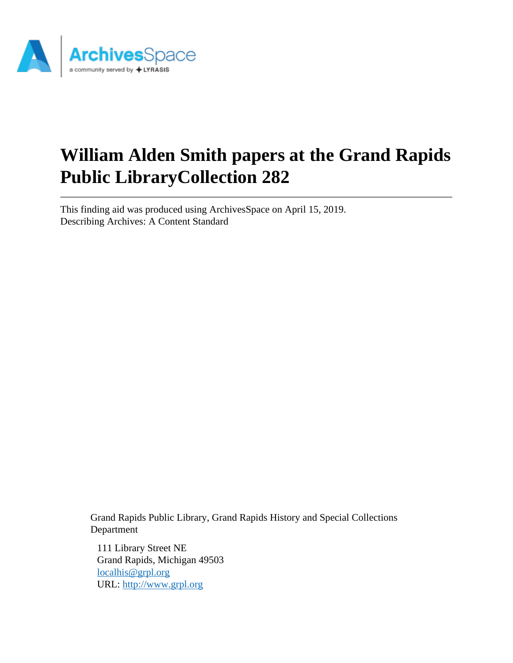

# **William Alden Smith papers at the Grand Rapids Public LibraryCollection 282**

This finding aid was produced using ArchivesSpace on April 15, 2019. Describing Archives: A Content Standard

> Grand Rapids Public Library, Grand Rapids History and Special Collections Department

111 Library Street NE Grand Rapids, Michigan 49503 [localhis@grpl.org](mailto:localhis@grpl.org) URL:<http://www.grpl.org>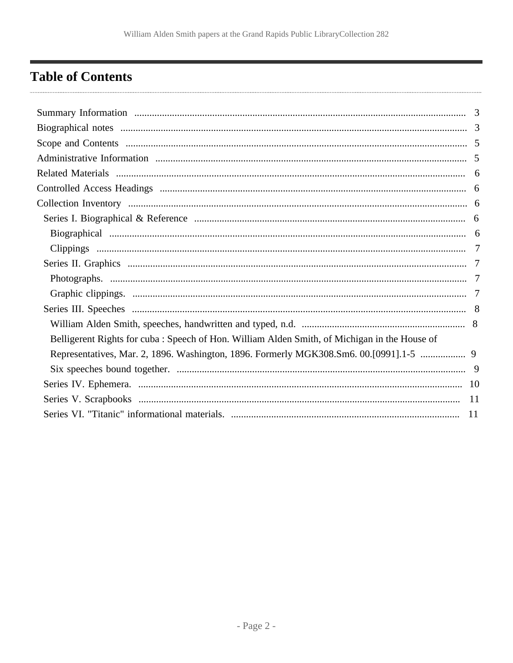# <span id="page-1-0"></span>**Table of Contents**

| Belligerent Rights for cuba: Speech of Hon. William Alden Smith, of Michigan in the House of |  |
|----------------------------------------------------------------------------------------------|--|
| Representatives, Mar. 2, 1896. Washington, 1896. Formerly MGK308.Sm6. 00.[0991].1-5  9       |  |
|                                                                                              |  |
|                                                                                              |  |
|                                                                                              |  |
|                                                                                              |  |
|                                                                                              |  |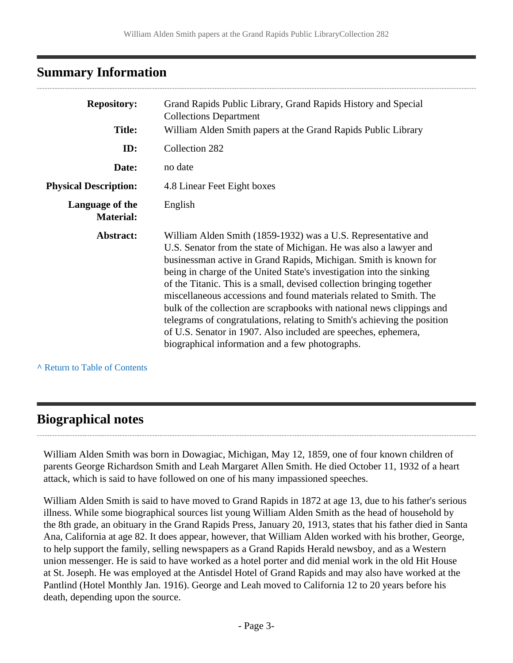# <span id="page-2-0"></span>**Summary Information**

| <b>Repository:</b>                  | Grand Rapids Public Library, Grand Rapids History and Special<br><b>Collections Department</b>                                                                                                                                                                                                                                                                                                                                                                                                                                                                                                                                                                                                           |
|-------------------------------------|----------------------------------------------------------------------------------------------------------------------------------------------------------------------------------------------------------------------------------------------------------------------------------------------------------------------------------------------------------------------------------------------------------------------------------------------------------------------------------------------------------------------------------------------------------------------------------------------------------------------------------------------------------------------------------------------------------|
| <b>Title:</b>                       | William Alden Smith papers at the Grand Rapids Public Library                                                                                                                                                                                                                                                                                                                                                                                                                                                                                                                                                                                                                                            |
| ID:                                 | Collection 282                                                                                                                                                                                                                                                                                                                                                                                                                                                                                                                                                                                                                                                                                           |
| Date:                               | no date                                                                                                                                                                                                                                                                                                                                                                                                                                                                                                                                                                                                                                                                                                  |
| <b>Physical Description:</b>        | 4.8 Linear Feet Eight boxes                                                                                                                                                                                                                                                                                                                                                                                                                                                                                                                                                                                                                                                                              |
| Language of the<br><b>Material:</b> | English                                                                                                                                                                                                                                                                                                                                                                                                                                                                                                                                                                                                                                                                                                  |
| Abstract:                           | William Alden Smith (1859-1932) was a U.S. Representative and<br>U.S. Senator from the state of Michigan. He was also a lawyer and<br>businessman active in Grand Rapids, Michigan. Smith is known for<br>being in charge of the United State's investigation into the sinking<br>of the Titanic. This is a small, devised collection bringing together<br>miscellaneous accessions and found materials related to Smith. The<br>bulk of the collection are scrapbooks with national news clippings and<br>telegrams of congratulations, relating to Smith's achieving the position<br>of U.S. Senator in 1907. Also included are speeches, ephemera,<br>biographical information and a few photographs. |

**^** [Return to Table of Contents](#page-1-0)

# <span id="page-2-1"></span>**Biographical notes**

William Alden Smith was born in Dowagiac, Michigan, May 12, 1859, one of four known children of parents George Richardson Smith and Leah Margaret Allen Smith. He died October 11, 1932 of a heart attack, which is said to have followed on one of his many impassioned speeches.

William Alden Smith is said to have moved to Grand Rapids in 1872 at age 13, due to his father's serious illness. While some biographical sources list young William Alden Smith as the head of household by the 8th grade, an obituary in the Grand Rapids Press, January 20, 1913, states that his father died in Santa Ana, California at age 82. It does appear, however, that William Alden worked with his brother, George, to help support the family, selling newspapers as a Grand Rapids Herald newsboy, and as a Western union messenger. He is said to have worked as a hotel porter and did menial work in the old Hit House at St. Joseph. He was employed at the Antisdel Hotel of Grand Rapids and may also have worked at the Pantlind (Hotel Monthly Jan. 1916). George and Leah moved to California 12 to 20 years before his death, depending upon the source.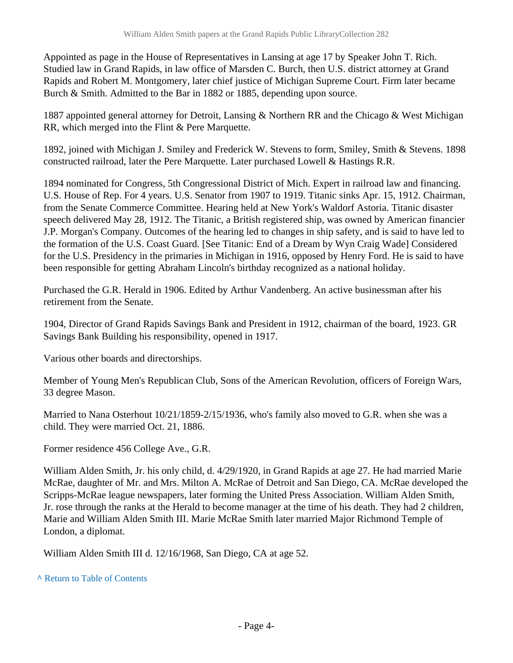Appointed as page in the House of Representatives in Lansing at age 17 by Speaker John T. Rich. Studied law in Grand Rapids, in law office of Marsden C. Burch, then U.S. district attorney at Grand Rapids and Robert M. Montgomery, later chief justice of Michigan Supreme Court. Firm later became Burch & Smith. Admitted to the Bar in 1882 or 1885, depending upon source.

1887 appointed general attorney for Detroit, Lansing & Northern RR and the Chicago & West Michigan RR, which merged into the Flint & Pere Marquette.

1892, joined with Michigan J. Smiley and Frederick W. Stevens to form, Smiley, Smith & Stevens. 1898 constructed railroad, later the Pere Marquette. Later purchased Lowell & Hastings R.R.

1894 nominated for Congress, 5th Congressional District of Mich. Expert in railroad law and financing. U.S. House of Rep. For 4 years. U.S. Senator from 1907 to 1919. Titanic sinks Apr. 15, 1912. Chairman, from the Senate Commerce Committee. Hearing held at New York's Waldorf Astoria. Titanic disaster speech delivered May 28, 1912. The Titanic, a British registered ship, was owned by American financier J.P. Morgan's Company. Outcomes of the hearing led to changes in ship safety, and is said to have led to the formation of the U.S. Coast Guard. [See Titanic: End of a Dream by Wyn Craig Wade] Considered for the U.S. Presidency in the primaries in Michigan in 1916, opposed by Henry Ford. He is said to have been responsible for getting Abraham Lincoln's birthday recognized as a national holiday.

Purchased the G.R. Herald in 1906. Edited by Arthur Vandenberg. An active businessman after his retirement from the Senate.

1904, Director of Grand Rapids Savings Bank and President in 1912, chairman of the board, 1923. GR Savings Bank Building his responsibility, opened in 1917.

Various other boards and directorships.

Member of Young Men's Republican Club, Sons of the American Revolution, officers of Foreign Wars, 33 degree Mason.

Married to Nana Osterhout 10/21/1859-2/15/1936, who's family also moved to G.R. when she was a child. They were married Oct. 21, 1886.

Former residence 456 College Ave., G.R.

William Alden Smith, Jr. his only child, d. 4/29/1920, in Grand Rapids at age 27. He had married Marie McRae, daughter of Mr. and Mrs. Milton A. McRae of Detroit and San Diego, CA. McRae developed the Scripps-McRae league newspapers, later forming the United Press Association. William Alden Smith, Jr. rose through the ranks at the Herald to become manager at the time of his death. They had 2 children, Marie and William Alden Smith III. Marie McRae Smith later married Major Richmond Temple of London, a diplomat.

William Alden Smith III d. 12/16/1968, San Diego, CA at age 52.

**^** [Return to Table of Contents](#page-1-0)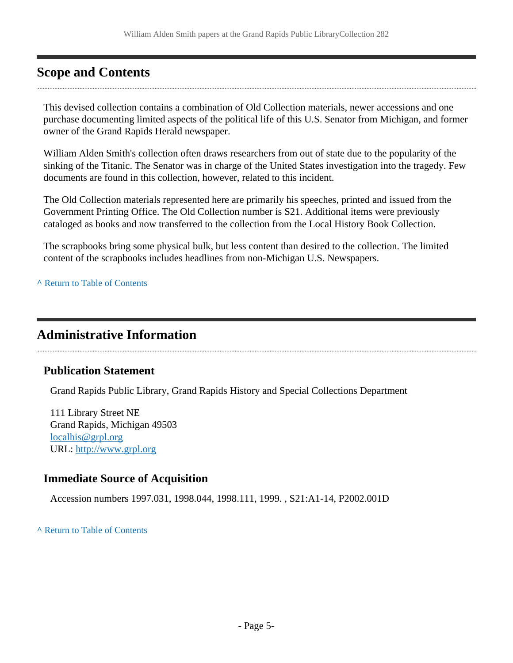# <span id="page-4-0"></span>**Scope and Contents**

This devised collection contains a combination of Old Collection materials, newer accessions and one purchase documenting limited aspects of the political life of this U.S. Senator from Michigan, and former owner of the Grand Rapids Herald newspaper.

William Alden Smith's collection often draws researchers from out of state due to the popularity of the sinking of the Titanic. The Senator was in charge of the United States investigation into the tragedy. Few documents are found in this collection, however, related to this incident.

The Old Collection materials represented here are primarily his speeches, printed and issued from the Government Printing Office. The Old Collection number is S21. Additional items were previously cataloged as books and now transferred to the collection from the Local History Book Collection.

The scrapbooks bring some physical bulk, but less content than desired to the collection. The limited content of the scrapbooks includes headlines from non-Michigan U.S. Newspapers.

**^** [Return to Table of Contents](#page-1-0)

# <span id="page-4-1"></span>**Administrative Information**

#### **Publication Statement**

Grand Rapids Public Library, Grand Rapids History and Special Collections Department

111 Library Street NE Grand Rapids, Michigan 49503 [localhis@grpl.org](mailto:localhis@grpl.org) URL:<http://www.grpl.org>

#### **Immediate Source of Acquisition**

Accession numbers 1997.031, 1998.044, 1998.111, 1999. , S21:A1-14, P2002.001D

**^** [Return to Table of Contents](#page-1-0)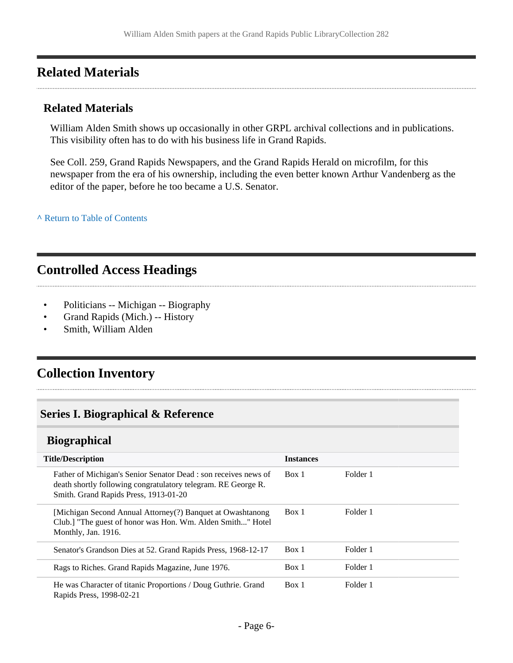# <span id="page-5-0"></span>**Related Materials**

#### **Related Materials**

William Alden Smith shows up occasionally in other GRPL archival collections and in publications. This visibility often has to do with his business life in Grand Rapids.

See Coll. 259, Grand Rapids Newspapers, and the Grand Rapids Herald on microfilm, for this newspaper from the era of his ownership, including the even better known Arthur Vandenberg as the editor of the paper, before he too became a U.S. Senator.

**^** [Return to Table of Contents](#page-1-0)

# <span id="page-5-1"></span>**Controlled Access Headings**

- Politicians -- Michigan -- Biography
- Grand Rapids (Mich.) -- History
- Smith, William Alden

# <span id="page-5-2"></span>**Collection Inventory**

### <span id="page-5-3"></span>**Series I. Biographical & Reference**

#### <span id="page-5-4"></span>**Biographical**

| <b>Title/Description</b>                                                                                                                                                  | <b>Instances</b> |          |
|---------------------------------------------------------------------------------------------------------------------------------------------------------------------------|------------------|----------|
| Father of Michigan's Senior Senator Dead : son receives news of<br>death shortly following congratulatory telegram. RE George R.<br>Smith. Grand Rapids Press, 1913-01-20 | Box 1            | Folder 1 |
| [Michigan Second Annual Attorney(?) Banquet at Owashtanong<br>Club.] "The guest of honor was Hon. Wm. Alden Smith" Hotel<br>Monthly, Jan. 1916.                           | Box 1            | Folder 1 |
| Senator's Grandson Dies at 52. Grand Rapids Press, 1968-12-17                                                                                                             | Box 1            | Folder 1 |
| Rags to Riches. Grand Rapids Magazine, June 1976.                                                                                                                         | Box 1            | Folder 1 |
| He was Character of titanic Proportions / Doug Guthrie. Grand<br>Rapids Press, 1998-02-21                                                                                 | Box 1            | Folder 1 |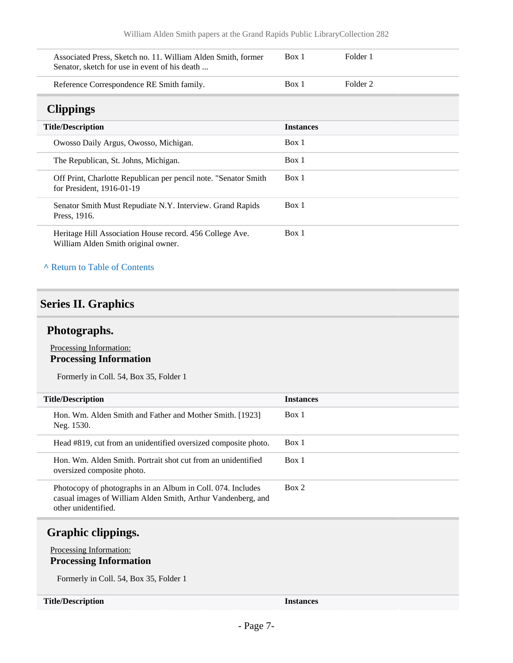<span id="page-6-0"></span>

| Associated Press, Sketch no. 11. William Alden Smith, former<br>Senator, sketch for use in event of his death | Box 1            | Folder 1 |
|---------------------------------------------------------------------------------------------------------------|------------------|----------|
| Reference Correspondence RE Smith family.                                                                     | Box 1            | Folder 2 |
| <b>Clippings</b>                                                                                              |                  |          |
| <b>Title/Description</b>                                                                                      | <b>Instances</b> |          |
| Owosso Daily Argus, Owosso, Michigan.                                                                         | Box 1            |          |
| The Republican, St. Johns, Michigan.                                                                          | Box 1            |          |
| Off Print, Charlotte Republican per pencil note. "Senator Smith<br>for President, 1916-01-19                  | Box 1            |          |
| Senator Smith Must Repudiate N.Y. Interview. Grand Rapids<br>Press, 1916.                                     | Box 1            |          |
| Heritage Hill Association House record. 456 College Ave.<br>William Alden Smith original owner.               | Box 1            |          |

#### **^** [Return to Table of Contents](#page-1-0)

#### <span id="page-6-1"></span>**Series II. Graphics**

#### <span id="page-6-2"></span>**Photographs.**

#### Processing Information: **Processing Information**

Formerly in Coll. 54, Box 35, Folder 1

| <b>Title/Description</b>                                                                                                                           | <b>Instances</b> |
|----------------------------------------------------------------------------------------------------------------------------------------------------|------------------|
| Hon. Wm. Alden Smith and Father and Mother Smith. [1923]<br>Neg. 1530.                                                                             | Box 1            |
| Head #819, cut from an unidentified oversized composite photo.                                                                                     | Box 1            |
| Hon. Wm. Alden Smith. Portrait shot cut from an unidentified<br>oversized composite photo.                                                         | Box 1            |
| Photocopy of photographs in an Album in Coll. 074. Includes<br>casual images of William Alden Smith, Arthur Vandenberg, and<br>other unidentified. | Box 2            |

# <span id="page-6-3"></span>**Graphic clippings.**

#### Processing Information: **Processing Information**

Formerly in Coll. 54, Box 35, Folder 1

#### **Title/Description Instances**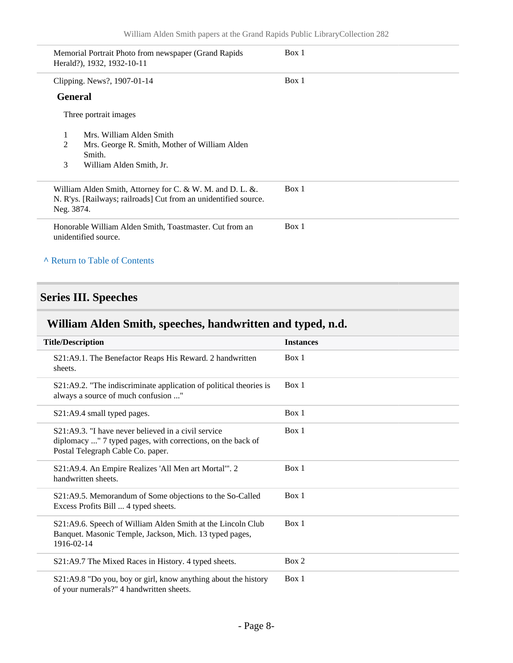|            | Memorial Portrait Photo from newspaper (Grand Rapids)<br>Herald?), 1932, 1932-10-11                                          | Box 1 |
|------------|------------------------------------------------------------------------------------------------------------------------------|-------|
|            | Clipping. News?, 1907-01-14                                                                                                  | Box 1 |
|            | <b>General</b>                                                                                                               |       |
|            | Three portrait images                                                                                                        |       |
| 1          | Mrs. William Alden Smith                                                                                                     |       |
| 2          | Mrs. George R. Smith, Mother of William Alden                                                                                |       |
| 3          | Smith.<br>William Alden Smith, Jr.                                                                                           |       |
| Neg. 3874. | William Alden Smith, Attorney for C. & W. M. and D. L. &.<br>N. R'ys. [Railways; railroads] Cut from an unidentified source. | Box 1 |
|            | Honorable William Alden Smith, Toastmaster. Cut from an<br>unidentified source.                                              | Box 1 |
|            | A Return to Table of Contents                                                                                                |       |

# <span id="page-7-0"></span>**Series III. Speeches**

# <span id="page-7-1"></span>**William Alden Smith, speeches, handwritten and typed, n.d.**

| <b>Title/Description</b>                                                                                                                                    | <b>Instances</b> |
|-------------------------------------------------------------------------------------------------------------------------------------------------------------|------------------|
| S21:A9.1. The Benefactor Reaps His Reward. 2 handwritten<br>sheets.                                                                                         | Box 1            |
| S21:A9.2. "The indiscriminate application of political theories is<br>always a source of much confusion "                                                   | Box 1            |
| S21:A9.4 small typed pages.                                                                                                                                 | Box 1            |
| $S21: A9.3$ . "I have never believed in a civil service<br>diplomacy " 7 typed pages, with corrections, on the back of<br>Postal Telegraph Cable Co. paper. | Box 1            |
| S21:A9.4. An Empire Realizes 'All Men art Mortal'". 2<br>handwritten sheets.                                                                                | Box 1            |
| S21:A9.5. Memorandum of Some objections to the So-Called<br>Excess Profits Bill  4 typed sheets.                                                            | Box 1            |
| S21:A9.6. Speech of William Alden Smith at the Lincoln Club<br>Banquet. Masonic Temple, Jackson, Mich. 13 typed pages,<br>1916-02-14                        | Box 1            |
| S21:A9.7 The Mixed Races in History. 4 typed sheets.                                                                                                        | Box 2            |
| S21:A9.8 "Do you, boy or girl, know anything about the history<br>of your numerals?" 4 handwritten sheets.                                                  | Box 1            |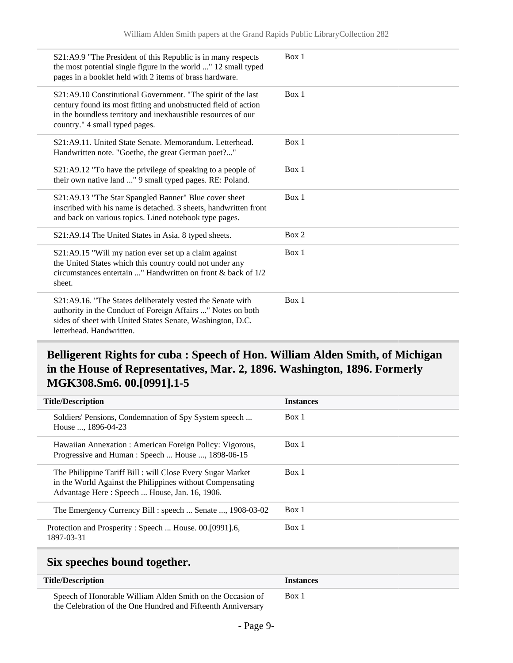| S21:A9.9 "The President of this Republic is in many respects<br>the most potential single figure in the world " 12 small typed<br>pages in a booklet held with 2 items of brass hardware.                                          | Box 1 |
|------------------------------------------------------------------------------------------------------------------------------------------------------------------------------------------------------------------------------------|-------|
| S21:A9.10 Constitutional Government. "The spirit of the last<br>century found its most fitting and unobstructed field of action<br>in the boundless territory and inexhaustible resources of our<br>country." 4 small typed pages. | Box 1 |
| S21:A9.11. United State Senate. Memorandum. Letterhead.<br>Handwritten note. "Goethe, the great German poet?"                                                                                                                      | Box 1 |
| S21:A9.12 "To have the privilege of speaking to a people of<br>their own native land " 9 small typed pages. RE: Poland.                                                                                                            | Box 1 |
| S21:A9.13 "The Star Spangled Banner" Blue cover sheet<br>inscribed with his name is detached. 3 sheets, handwritten front<br>and back on various topics. Lined notebook type pages.                                                | Box 1 |
| S21:A9.14 The United States in Asia. 8 typed sheets.                                                                                                                                                                               | Box 2 |
| S21:A9.15 "Will my nation ever set up a claim against<br>the United States which this country could not under any<br>circumstances entertain " Handwritten on front & back of 1/2<br>sheet.                                        | Box 1 |
| S21:A9.16. "The States deliberately vested the Senate with<br>authority in the Conduct of Foreign Affairs " Notes on both<br>sides of sheet with United States Senate, Washington, D.C.<br>letterhead. Handwritten.                | Box 1 |

# <span id="page-8-0"></span>**Belligerent Rights for cuba : Speech of Hon. William Alden Smith, of Michigan in the House of Representatives, Mar. 2, 1896. Washington, 1896. Formerly MGK308.Sm6. 00.[0991].1-5**

| <b>Title/Description</b>                                                                                                                                                | <b>Instances</b> |
|-------------------------------------------------------------------------------------------------------------------------------------------------------------------------|------------------|
| Soldiers' Pensions, Condemnation of Spy System speech<br>House , 1896-04-23                                                                                             | Box 1            |
| Hawaiian Annexation : American Foreign Policy: Vigorous,<br>Progressive and Human: Speech  House , 1898-06-15                                                           | Box 1            |
| The Philippine Tariff Bill: will Close Every Sugar Market<br>in the World Against the Philippines without Compensating<br>Advantage Here: Speech  House, Jan. 16, 1906. | Box 1            |
| The Emergency Currency Bill : speech  Senate , 1908-03-02                                                                                                               | Box 1            |
| Protection and Prosperity: Speech  House. 00.[0991].6,<br>1897-03-31                                                                                                    | Box 1            |

### <span id="page-8-1"></span>**Six speeches bound together.**

| <b>Title/Description</b>                                     | <b>Instances</b> |
|--------------------------------------------------------------|------------------|
| Speech of Honorable William Alden Smith on the Occasion of   | Box 1            |
| the Celebration of the One Hundred and Fifteenth Anniversary |                  |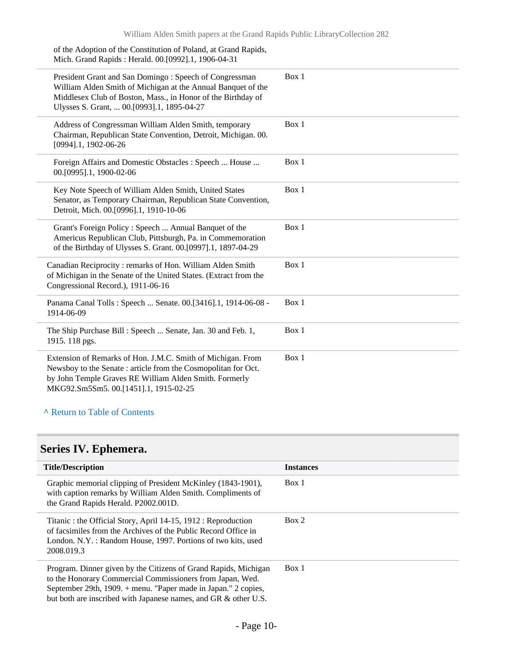| of the Adoption of the Constitution of Poland, at Grand Rapids,<br>Mich. Grand Rapids: Herald. 00.[0992].1, 1906-04-31                                                                                                               |       |
|--------------------------------------------------------------------------------------------------------------------------------------------------------------------------------------------------------------------------------------|-------|
| President Grant and San Domingo: Speech of Congressman<br>William Alden Smith of Michigan at the Annual Banquet of the<br>Middlesex Club of Boston, Mass., in Honor of the Birthday of<br>Ulysses S. Grant,  00.[0993].1, 1895-04-27 | Box 1 |
| Address of Congressman William Alden Smith, temporary<br>Chairman, Republican State Convention, Detroit, Michigan. 00.<br>[0994].1, 1902-06-26                                                                                       | Box 1 |
| Foreign Affairs and Domestic Obstacles : Speech  House<br>00.[0995].1, 1900-02-06                                                                                                                                                    | Box 1 |
| Key Note Speech of William Alden Smith, United States<br>Senator, as Temporary Chairman, Republican State Convention,<br>Detroit, Mich. 00.[0996].1, 1910-10-06                                                                      | Box 1 |
| Grant's Foreign Policy : Speech  Annual Banquet of the<br>Americus Republican Club, Pittsburgh, Pa. in Commemoration<br>of the Birthday of Ulysses S. Grant. 00.[0997].1, 1897-04-29                                                 | Box 1 |
| Canadian Reciprocity: remarks of Hon. William Alden Smith<br>of Michigan in the Senate of the United States. (Extract from the<br>Congressional Record.), 1911-06-16                                                                 | Box 1 |
| Panama Canal Tolls: Speech  Senate. 00.[3416].1, 1914-06-08 -<br>1914-06-09                                                                                                                                                          | Box 1 |
| The Ship Purchase Bill: Speech  Senate, Jan. 30 and Feb. 1,<br>1915. 118 pgs.                                                                                                                                                        | Box 1 |
| Extension of Remarks of Hon. J.M.C. Smith of Michigan. From<br>Newsboy to the Senate : article from the Cosmopolitan for Oct.<br>by John Temple Graves RE William Alden Smith. Formerly<br>MKG92.Sm5Sm5.00.[1451].1, 1915-02-25      | Box 1 |

### **^** [Return to Table of Contents](#page-1-0)

# <span id="page-9-0"></span>**Series IV. Ephemera.**

| <b>Title/Description</b>                                                                                                                                                                                                                                          | <b>Instances</b> |
|-------------------------------------------------------------------------------------------------------------------------------------------------------------------------------------------------------------------------------------------------------------------|------------------|
| Graphic memorial clipping of President McKinley (1843-1901),<br>with caption remarks by William Alden Smith. Compliments of<br>the Grand Rapids Herald. P2002.001D.                                                                                               | Box 1            |
| Titanic: the Official Story, April 14-15, 1912: Reproduction<br>of facsimiles from the Archives of the Public Record Office in<br>London, N.Y. : Random House, 1997. Portions of two kits, used<br>2008.019.3                                                     | Box 2            |
| Program. Dinner given by the Citizens of Grand Rapids, Michigan<br>to the Honorary Commercial Commissioners from Japan, Wed.<br>September 29th, 1909. + menu. "Paper made in Japan." 2 copies,<br>but both are inscribed with Japanese names, and GR & other U.S. | Box 1            |